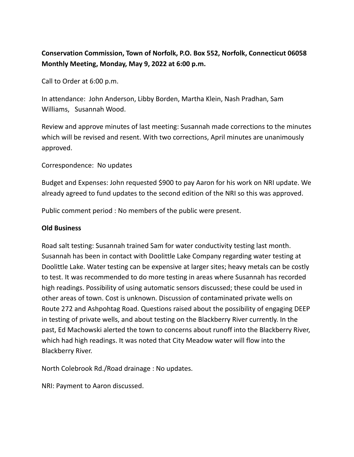## **Conservation Commission, Town of Norfolk, P.O. Box 552, Norfolk, Connecticut 06058 Monthly Meeting, Monday, May 9, 2022 at 6:00 p.m.**

Call to Order at 6:00 p.m.

In attendance: John Anderson, Libby Borden, Martha Klein, Nash Pradhan, Sam Williams, Susannah Wood.

Review and approve minutes of last meeting: Susannah made corrections to the minutes which will be revised and resent. With two corrections, April minutes are unanimously approved.

Correspondence: No updates

Budget and Expenses: John requested \$900 to pay Aaron for his work on NRI update. We already agreed to fund updates to the second edition of the NRI so this was approved.

Public comment period : No members of the public were present.

## **Old Business**

Road salt testing: Susannah trained Sam for water conductivity testing last month. Susannah has been in contact with Doolittle Lake Company regarding water testing at Doolittle Lake. Water testing can be expensive at larger sites; heavy metals can be costly to test. It was recommended to do more testing in areas where Susannah has recorded high readings. Possibility of using automatic sensors discussed; these could be used in other areas of town. Cost is unknown. Discussion of contaminated private wells on Route 272 and Ashpohtag Road. Questions raised about the possibility of engaging DEEP in testing of private wells, and about testing on the Blackberry River currently. In the past, Ed Machowski alerted the town to concerns about runoff into the Blackberry River, which had high readings. It was noted that City Meadow water will flow into the Blackberry River.

North Colebrook Rd./Road drainage : No updates.

NRI: Payment to Aaron discussed.